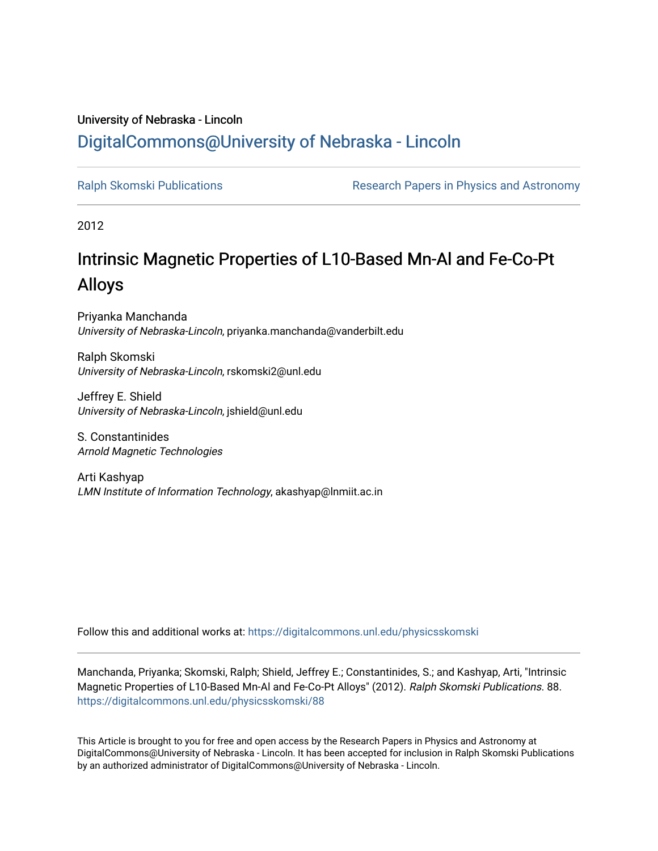## University of Nebraska - Lincoln [DigitalCommons@University of Nebraska - Lincoln](https://digitalcommons.unl.edu/)

[Ralph Skomski Publications](https://digitalcommons.unl.edu/physicsskomski) The Research Papers in Physics and Astronomy

2012

# Intrinsic Magnetic Properties of L10-Based Mn-Al and Fe-Co-Pt Alloys

Priyanka Manchanda University of Nebraska-Lincoln, priyanka.manchanda@vanderbilt.edu

Ralph Skomski University of Nebraska-Lincoln, rskomski2@unl.edu

Jeffrey E. Shield University of Nebraska-Lincoln, jshield@unl.edu

S. Constantinides Arnold Magnetic Technologies

Arti Kashyap LMN Institute of Information Technology, akashyap@lnmiit.ac.in

Follow this and additional works at: [https://digitalcommons.unl.edu/physicsskomski](https://digitalcommons.unl.edu/physicsskomski?utm_source=digitalcommons.unl.edu%2Fphysicsskomski%2F88&utm_medium=PDF&utm_campaign=PDFCoverPages) 

Manchanda, Priyanka; Skomski, Ralph; Shield, Jeffrey E.; Constantinides, S.; and Kashyap, Arti, "Intrinsic Magnetic Properties of L10-Based Mn-Al and Fe-Co-Pt Alloys" (2012). Ralph Skomski Publications. 88. [https://digitalcommons.unl.edu/physicsskomski/88](https://digitalcommons.unl.edu/physicsskomski/88?utm_source=digitalcommons.unl.edu%2Fphysicsskomski%2F88&utm_medium=PDF&utm_campaign=PDFCoverPages)

This Article is brought to you for free and open access by the Research Papers in Physics and Astronomy at DigitalCommons@University of Nebraska - Lincoln. It has been accepted for inclusion in Ralph Skomski Publications by an authorized administrator of DigitalCommons@University of Nebraska - Lincoln.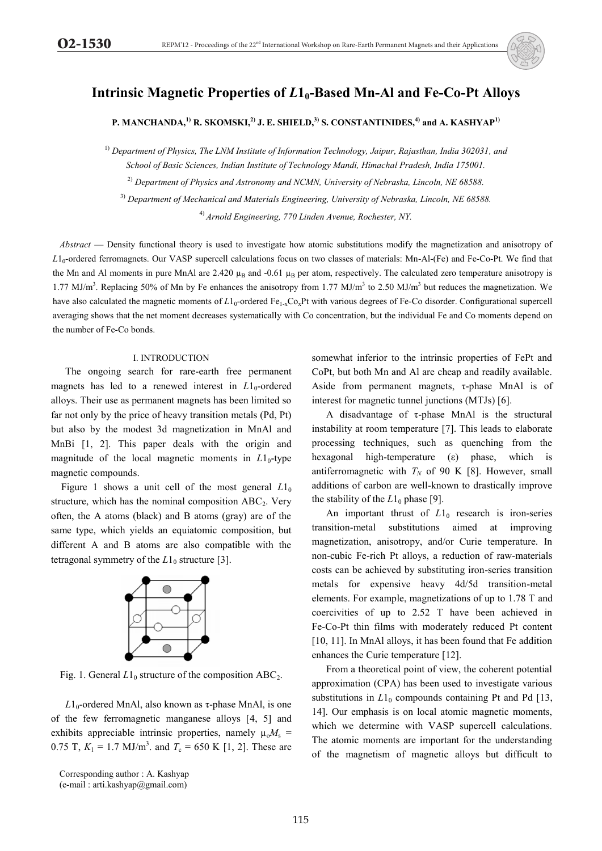

## **Intrinsic Magnetic Properties of** *L***10-Based Mn-Al and Fe-Co-Pt Alloys**

### P. MANCHANDA,<sup>1)</sup> R. SKOMSKI,<sup>2)</sup> J. E. SHIELD,<sup>3)</sup> S. CONSTANTINIDES,<sup>4)</sup> and A. KASHYAP<sup>1)</sup>

1) *Department of Physics, The LNM Institute of Information Technology, Jaipur, Rajasthan, India 302031, and School of Basic Sciences, Indian Institute of Technology Mandi, Himachal Pradesh, India 175001.* 

2) *Department of Physics and Astronomy and NCMN, University of Nebraska, Lincoln, NE 68588.* 

3) *Department of Mechanical and Materials Engineering, University of Nebraska, Lincoln, NE 68588.* 

4) *Arnold Engineering, 770 Linden Avenue, Rochester, NY.* 

*Abstract* — Density functional theory is used to investigate how atomic substitutions modify the magnetization and anisotropy of *L*10-ordered ferromagnets. Our VASP supercell calculations focus on two classes of materials: Mn-Al-(Fe) and Fe-Co-Pt. We find that the Mn and Al moments in pure MnAl are  $2.420 \mu_B$  and -0.61  $\mu_B$  per atom, respectively. The calculated zero temperature anisotropy is 1.77 MJ/m<sup>3</sup>. Replacing 50% of Mn by Fe enhances the anisotropy from 1.77 MJ/m<sup>3</sup> to 2.50 MJ/m<sup>3</sup> but reduces the magnetization. We have also calculated the magnetic moments of  $L1_0$ -ordered Fe<sub>1-x</sub>Co<sub>x</sub>Pt with various degrees of Fe-Co disorder. Configurational supercell averaging shows that the net moment decreases systematically with Co concentration, but the individual Fe and Co moments depend on the number of Fe-Co bonds.

#### I. INTRODUCTION

 The ongoing search for rare-earth free permanent magnets has led to a renewed interest in  $L1_0$ -ordered alloys. Their use as permanent magnets has been limited so far not only by the price of heavy transition metals (Pd, Pt) but also by the modest 3d magnetization in MnAl and MnBi [1, 2]. This paper deals with the origin and magnitude of the local magnetic moments in  $L1_0$ -type magnetic compounds.

Figure 1 shows a unit cell of the most general  $L1_0$ structure, which has the nominal composition  $ABC_2$ . Very often, the A atoms (black) and B atoms (gray) are of the same type, which yields an equiatomic composition, but different A and B atoms are also compatible with the tetragonal symmetry of the  $L1_0$  structure [3].



Fig. 1. General  $L1_0$  structure of the composition  $ABC_2$ .

 $L1_0$ -ordered MnAl, also known as τ-phase MnAl, is one of the few ferromagnetic manganese alloys [4, 5] and exhibits appreciable intrinsic properties, namely  $\mu_0 M_s$  = 0.75 T,  $K_1 = 1.7$  MJ/m<sup>3</sup>. and  $T_c = 650$  K [1, 2]. These are

Corresponding author : A. Kashyap (e-mail : arti.kashyap@gmail.com)

somewhat inferior to the intrinsic properties of FePt and CoPt, but both Mn and Al are cheap and readily available. Aside from permanent magnets, τ-phase MnAl is of interest for magnetic tunnel junctions (MTJs) [6].

A disadvantage of τ-phase MnAl is the structural instability at room temperature [7]. This leads to elaborate processing techniques, such as quenching from the hexagonal high-temperature (ε) phase, which is antiferromagnetic with  $T_N$  of 90 K [8]. However, small additions of carbon are well-known to drastically improve the stability of the  $L1_0$  phase [9].

An important thrust of  $L1_0$  research is iron-series transition-metal substitutions aimed at improving magnetization, anisotropy, and/or Curie temperature. In non-cubic Fe-rich Pt alloys, a reduction of raw-materials costs can be achieved by substituting iron-series transition metals for expensive heavy 4d/5d transition-metal elements. For example, magnetizations of up to 1.78 T and coercivities of up to 2.52 T have been achieved in Fe-Co-Pt thin films with moderately reduced Pt content [10, 11]. In MnAl alloys, it has been found that Fe addition enhances the Curie temperature [12].

 From a theoretical point of view, the coherent potential approximation (CPA) has been used to investigate various substitutions in  $L1_0$  compounds containing Pt and Pd [13, 14]. Our emphasis is on local atomic magnetic moments, which we determine with VASP supercell calculations. The atomic moments are important for the understanding of the magnetism of magnetic alloys but difficult to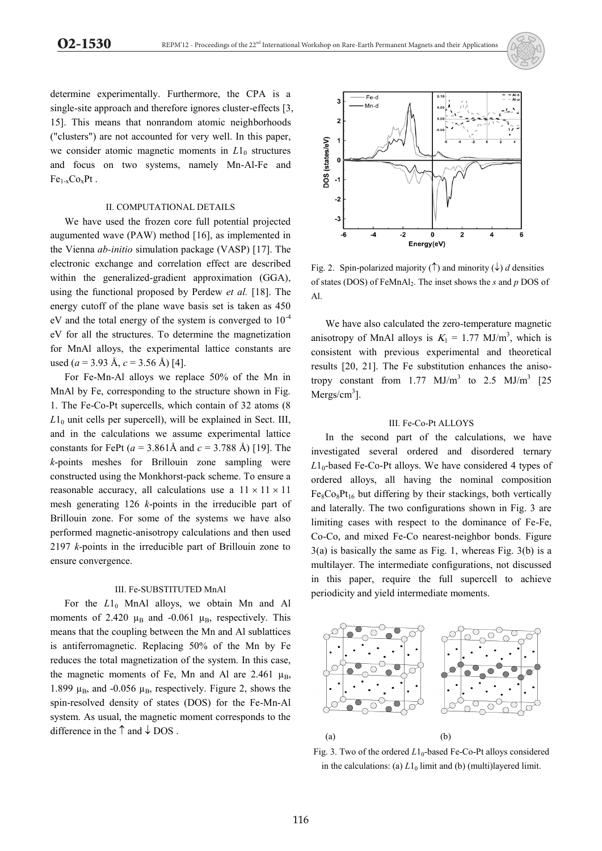

determine experimentally. Furthermore, the CPA is a single-site approach and therefore ignores cluster-effects [3, 15]. This means that nonrandom atomic neighborhoods ("clusters") are not accounted for very well. In this paper, we consider atomic magnetic moments in  $L1_0$  structures and focus on two systems, namely Mn-Al-Fe and  $Fe<sub>1-x</sub>Co<sub>x</sub>Pt$ .

#### II. COMPUTATIONAL DETAILS

 We have used the frozen core full potential projected augumented wave (PAW) method [16], as implemented in the Vienna *ab-initio* simulation package (VASP) [17]. The electronic exchange and correlation effect are described within the generalized-gradient approximation (GGA), using the functional proposed by Perdew *et al.* [18]. The energy cutoff of the plane wave basis set is taken as 450 eV and the total energy of the system is converged to  $10^{-4}$ eV for all the structures. To determine the magnetization for MnAl alloys, the experimental lattice constants are used (*a* = 3.93 Å, *c* = 3.56 Å) [4].

 For Fe-Mn-Al alloys we replace 50% of the Mn in MnAl by Fe, corresponding to the structure shown in Fig. 1. The Fe-Co-Pt supercells, which contain of 32 atoms (8  $L1<sub>0</sub>$  unit cells per supercell), will be explained in Sect. III, and in the calculations we assume experimental lattice constants for FePt (*a* = 3.861Å and *c* = 3.788 Å) [19]. The *k*-points meshes for Brillouin zone sampling were constructed using the Monkhorst-pack scheme. To ensure a reasonable accuracy, all calculations use a  $11 \times 11 \times 11$ mesh generating 126 *k*-points in the irreducible part of Brillouin zone. For some of the systems we have also performed magnetic-anisotropy calculations and then used 2197 *k*-points in the irreducible part of Brillouin zone to ensure convergence.

#### III. Fe-SUBSTITUTED MnAl

For the  $L1_0$  MnAl alloys, we obtain Mn and Al moments of 2.420  $\mu_B$  and -0.061  $\mu_B$ , respectively. This means that the coupling between the Mn and Al sublattices is antiferromagnetic. Replacing 50% of the Mn by Fe reduces the total magnetization of the system. In this case, the magnetic moments of Fe, Mn and Al are 2.461  $\mu_B$ , 1.899  $\mu_B$ , and -0.056  $\mu_B$ , respectively. Figure 2, shows the spin-resolved density of states (DOS) for the Fe-Mn-Al system. As usual, the magnetic moment corresponds to the difference in the  $\uparrow$  and  $\downarrow$  DOS.



Fig. 2. Spin-polarized majority  $(\uparrow)$  and minority  $(\downarrow)$  *d* densities of states (DOS) of FeMnAl2. The inset shows the *s* and *p* DOS of Al.

 We have also calculated the zero-temperature magnetic anisotropy of MnAl alloys is  $K_1 = 1.77$  MJ/m<sup>3</sup>, which is consistent with previous experimental and theoretical results [20, 21]. The Fe substitution enhances the anisotropy constant from  $1.77 \text{ MJ/m}^3$  to  $2.5 \text{ MJ/m}^3$  [25  $Mergs/cm<sup>3</sup>$ ].

#### III. Fe-Co-Pt ALLOYS

 In the second part of the calculations, we have investigated several ordered and disordered ternary  $L1_0$ -based Fe-Co-Pt alloys. We have considered 4 types of ordered alloys, all having the nominal composition  $Fe_8Co_8Pt_{16}$  but differing by their stackings, both vertically and laterally. The two configurations shown in Fig. 3 are limiting cases with respect to the dominance of Fe-Fe, Co-Co, and mixed Fe-Co nearest-neighbor bonds. Figure 3(a) is basically the same as Fig. 1, whereas Fig. 3(b) is a multilayer. The intermediate configurations, not discussed in this paper, require the full supercell to achieve periodicity and yield intermediate moments.



Fig. 3. Two of the ordered  $L1_0$ -based Fe-Co-Pt alloys considered in the calculations: (a)  $L1_0$  limit and (b) (multi)layered limit.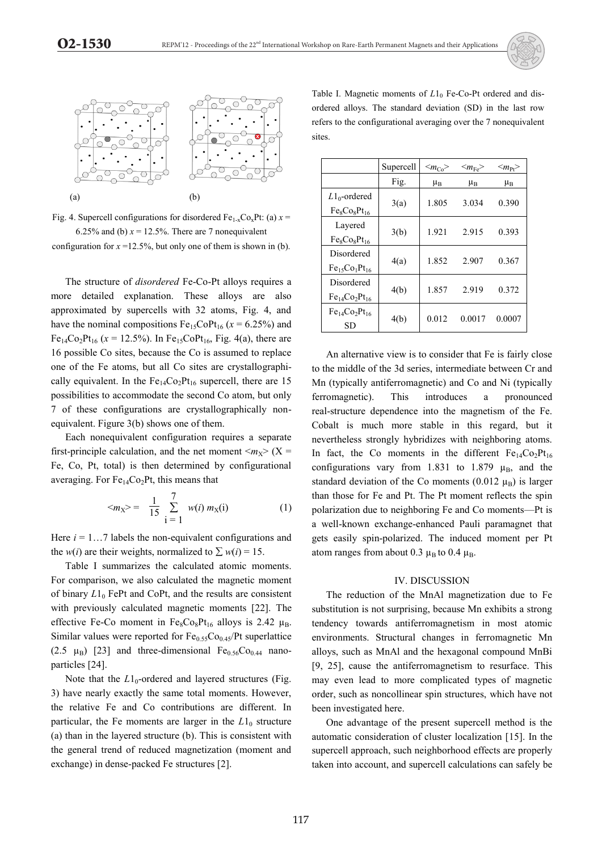

Fig. 4. Supercell configurations for disordered  $Fe<sub>1-x</sub>Co<sub>x</sub>Pt$ : (a)  $x =$ 6.25% and (b)  $x = 12.5$ %. There are 7 nonequivalent configuration for  $x = 12.5\%$ , but only one of them is shown in (b).

 The structure of *disordered* Fe-Co-Pt alloys requires a more detailed explanation. These alloys are also approximated by supercells with 32 atoms, Fig. 4, and have the nominal compositions  $Fe_{15}CoPt_{16}$  ( $x = 6.25\%$ ) and  $Fe_{14}Co_{2}Pt_{16}$  ( $x = 12.5\%$ ). In  $Fe_{15}CoPt_{16}$ , Fig. 4(a), there are 16 possible Co sites, because the Co is assumed to replace one of the Fe atoms, but all Co sites are crystallographically equivalent. In the  $Fe<sub>14</sub>Co<sub>2</sub>Pt<sub>16</sub>$  supercell, there are 15 possibilities to accommodate the second Co atom, but only 7 of these configurations are crystallographically nonequivalent. Figure 3(b) shows one of them.

 Each nonequivalent configuration requires a separate first-principle calculation, and the net moment  $\langle m_x \rangle$  (X = Fe, Co, Pt, total) is then determined by configurational averaging. For  $Fe<sub>14</sub>Co<sub>2</sub>Pt$ , this means that

$$
\langle m_X \rangle = \frac{1}{15} \sum_{i=1}^{7} w(i) m_X(i) \tag{1}
$$

Here  $i = 1...7$  labels the non-equivalent configurations and the *w*(*i*) are their weights, normalized to  $\sum w(i) = 15$ .

 Table I summarizes the calculated atomic moments. For comparison, we also calculated the magnetic moment of binary  $L1_0$  FePt and CoPt, and the results are consistent with previously calculated magnetic moments [22]. The effective Fe-Co moment in  $Fe_8Co_8Pt_{16}$  alloys is 2.42  $\mu_B$ . Similar values were reported for  $Fe<sub>0.55</sub>Co<sub>0.45</sub>/Pt$  superlattice  $(2.5 \mu_B)$  [23] and three-dimensional Fe<sub>0.56</sub>Co<sub>0.44</sub> nanoparticles [24].

Note that the  $L1_0$ -ordered and layered structures (Fig. 3) have nearly exactly the same total moments. However, the relative Fe and Co contributions are different. In particular, the Fe moments are larger in the  $L1_0$  structure (a) than in the layered structure (b). This is consistent with the general trend of reduced magnetization (moment and exchange) in dense-packed Fe structures [2].

Table I. Magnetic moments of  $L1_0$  Fe-Co-Pt ordered and disordered alloys. The standard deviation (SD) in the last row refers to the configurational averaging over the 7 nonequivalent sites.

|                   | Supercell | $\langle m_{Co} \rangle$ | $<\!\!m_{\rm Fe}\!\!>$ | $\langle m_{\text{Pl}} \rangle$ |
|-------------------|-----------|--------------------------|------------------------|---------------------------------|
|                   | Fig.      | $\mu_B$                  | $\mu_B$                | μ <sub>B</sub>                  |
| $L1_0$ -ordered   | 3(a)      | 1.805                    | 3.034                  | 0.390                           |
| $Fe_8Co_8Pt_{16}$ |           |                          |                        |                                 |
| Layered           | 3(b)      | 1.921                    | 2.915                  | 0.393                           |
| $Fe_8Co_8Pt_{16}$ |           |                          |                        |                                 |
| Disordered        | 4(a)      | 1.852                    | 2.907                  | 0.367                           |
| $Fe15Co1Pt16$     |           |                          |                        |                                 |
| Disordered        | 4(b)      | 1.857                    | 2.919                  | 0.372                           |
| $Fe14Co2Pt16$     |           |                          |                        |                                 |
| $Fe14Co2Pt16$     | 4(b)      | 0.012                    | 0.0017                 | 0.0007                          |
| SD                |           |                          |                        |                                 |

 An alternative view is to consider that Fe is fairly close to the middle of the 3d series, intermediate between Cr and Mn (typically antiferromagnetic) and Co and Ni (typically ferromagnetic). This introduces a pronounced real-structure dependence into the magnetism of the Fe. Cobalt is much more stable in this regard, but it nevertheless strongly hybridizes with neighboring atoms. In fact, the Co moments in the different  $Fe_{14}Co_2Pt_{16}$ configurations vary from 1.831 to 1.879  $\mu_B$ , and the standard deviation of the Co moments  $(0.012 \mu_B)$  is larger than those for Fe and Pt. The Pt moment reflects the spin polarization due to neighboring Fe and Co moments—Pt is a well-known exchange-enhanced Pauli paramagnet that gets easily spin-polarized. The induced moment per Pt atom ranges from about 0.3  $\mu$ <sub>B</sub> to 0.4  $\mu$ <sub>B</sub>.

#### IV. DISCUSSION

 The reduction of the MnAl magnetization due to Fe substitution is not surprising, because Mn exhibits a strong tendency towards antiferromagnetism in most atomic environments. Structural changes in ferromagnetic Mn alloys, such as MnAl and the hexagonal compound MnBi [9, 25], cause the antiferromagnetism to resurface. This may even lead to more complicated types of magnetic order, such as noncollinear spin structures, which have not been investigated here.

 One advantage of the present supercell method is the automatic consideration of cluster localization [15]. In the supercell approach, such neighborhood effects are properly taken into account, and supercell calculations can safely be